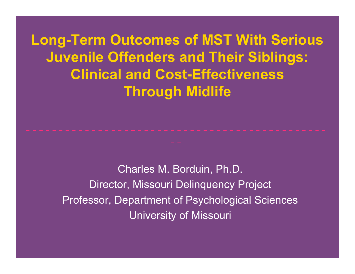**Long-Term Outcomes of MST With Serious Juvenile Offenders and Their Siblings: Clinical and Cost-Effectiveness Through Midlife**

> Charles M. Borduin, Ph.D. Director, Missouri Delinquency Project Professor, Department of Psychological Sciences University of Missouri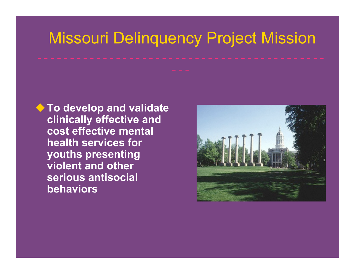## Missouri Delinquency Project Mission

◆ To develop and validate **clinically effective and cost effective mental health services for youths presenting violent and other serious antisocial behaviors**

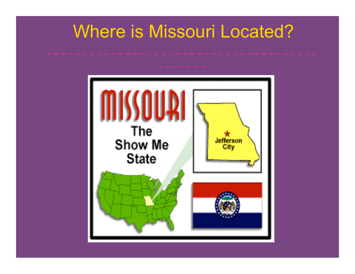## Where is Missouri Located?

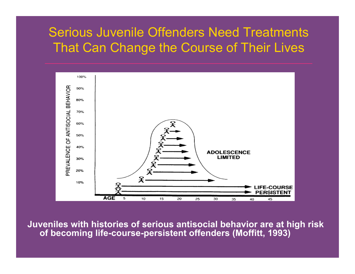#### Serious Juvenile Offenders Need Treatments That Can Change the Course of Their Lives



**Juveniles with histories of serious antisocial behavior are at high risk of becoming life-course-persistent offenders (Moffitt, 1993)**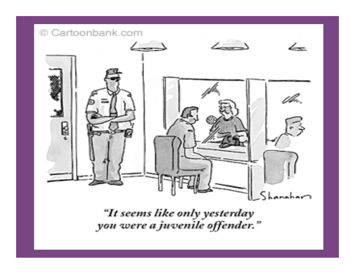

"It seems like only yesterday<br>you were a juvenile offender."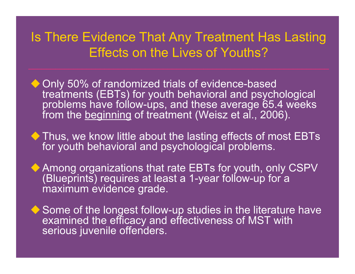#### Is There Evidence That Any Treatment Has Lasting Effects on the Lives of Youths?

- ◆ Only 50% of randomized trials of evidence-based treatments (EBTs) for youth behavioral and psychological problems have follow-ups, and these average 65.4 weeks from the beginning of treatment (Weisz et al., 2006).
- ◆ Thus, we know little about the lasting effects of most EBTs for youth behavioral and psychological problems.
- ◆ Among organizations that rate EBTs for youth, only CSPV (Blueprints) requires at least a 1-year follow-up for a maximum evidence grade.
- ◆ Some of the longest follow-up studies in the literature have examined the efficacy and effectiveness of MST with serious juvenile offenders.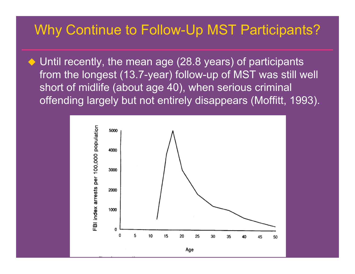#### Why Continue to Follow-Up MST Participants?

◆ Until recently, the mean age (28.8 years) of participants from the longest (13.7-year) follow-up of MST was still well short of midlife (about age 40), when serious criminal offending largely but not entirely disappears (Moffitt, 1993).

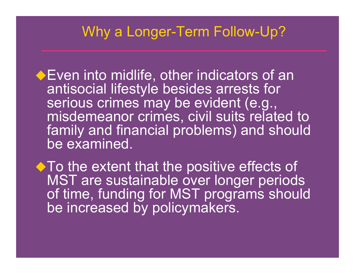#### Why a Longer-Term Follow-Up?

- **Even into midlife, other indicators of an** antisocial lifestyle besides arrests for serious crimes may be evident (e.g., misdemeanor crimes, civil suits related to family and financial problems) and should be examined.
- ◆ To the extent that the positive effects of MST are sustainable over longer periods of time, funding for MST programs should be increased by policymakers.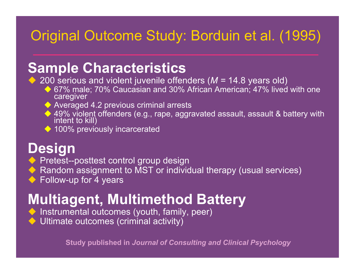### Original Outcome Study: Borduin et al. (1995)

## **Sample Characteristics**

◆ 200 serious and violent juvenile offenders (*M* = 14.8 years old)

- ◆ 67% male; 70% Caucasian and 30% African American; 47% lived with one caregiver
- Averaged 4.2 previous criminal arrests
- ◆ 49% violent offenders (e.g., rape, aggravated assault, assault & battery with intent to kill)
- ◆ 100% previously incarcerated

### **Design**

- **Pretest--posttest control group design**
- ◆ Random assignment to MST or individual therapy (usual services)
- ◆ Follow-up for 4 years

## **Multiagent, Multimethod Battery**

- ◆ Instrumental outcomes (youth, family, peer)
- Ultimate outcomes (criminal activity)

**Study published in** *Journal of Consulting and Clinical Psychology*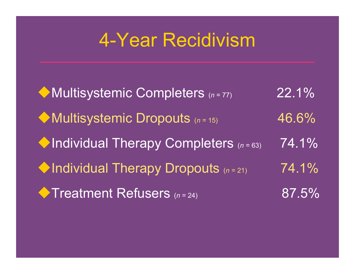## 4-Year Recidivism

◆ Multisystemic Completers (n=77) 22.1% ◆ Multisystemic Dropouts (n = 15) 46.6% ◆Individual Therapy Completers (n=63) 74.1% ◆Individual Therapy Dropouts (n=21) 74.1% ◆Treatment Refusers (n = 24) 87.5%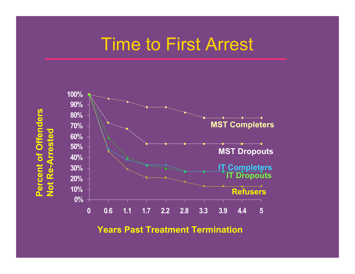## Time to First Arrest





**Years Past Treatment Termination**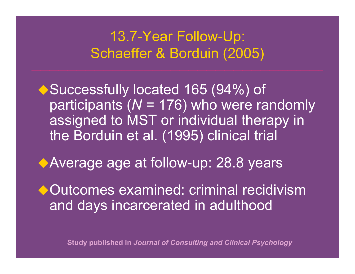### 13.7-Year Follow-Up: Schaeffer & Borduin (2005)

◆ Successfully located 165 (94%) of participants (*N* = 176) who were randomly assigned to MST or individual therapy in the Borduin et al. (1995) clinical trial

◆Average age at follow-up: 28.8 years

◆ Outcomes examined: criminal recidivism and days incarcerated in adulthood

**Study published in** *Journal of Consulting and Clinical Psychology*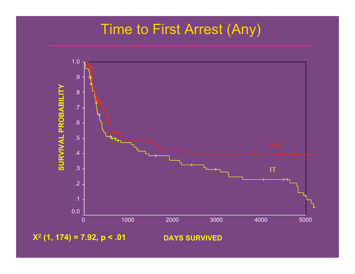## Time to First Arrest (Any)



**X2 (1, 174) = 7.92, p < .01**

#### **DAYS SURVIVED**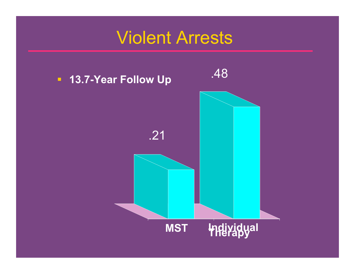## Violent Arrests

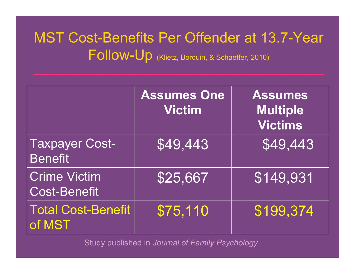## MST Cost-Benefits Per Offender at 13.7-Year Follow-Up (Klietz, Borduin, & Schaeffer, 2010)

|                                            | <b>Assumes One</b><br><b>Victim</b> | <b>Assumes</b><br><b>Multiple</b><br><b>Victims</b> |
|--------------------------------------------|-------------------------------------|-----------------------------------------------------|
| <b>Taxpayer Cost-</b><br><b>Benefit</b>    | \$49,443                            | \$49,443                                            |
| <b>Crime Victim</b><br><b>Cost-Benefit</b> | \$25,667                            | \$149,931                                           |
| <b>Total Cost-Benefit</b><br>of MST        | \$75,110                            | \$199,374                                           |

Study published in *Journal of Family Psychology*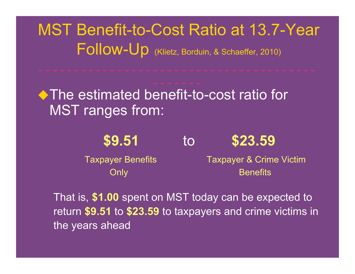MST Benefit-to-Cost Ratio at 13.7-Year Follow-Up (Klietz, Borduin, & Schaeffer, 2010)

◆ The estimated benefit-to-cost ratio for MST ranges from:

**\$9.51** to **\$23.59**

Taxpayer Benefits Taxpayer & Crime Victim Only **Benefits** 

That is, **\$1.00** spent on MST today can be expected to return **\$9.51** to **\$23.59** to taxpayers and crime victims in the years ahead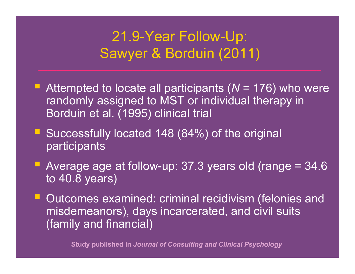### 21.9-Year Follow-Up: Sawyer & Borduin (2011)

- Attempted to locate all participants ( $N = 176$ ) who were randomly assigned to MST or individual therapy in Borduin et al. (1995) clinical trial
- Successfully located 148 (84%) of the original participants
- Average age at follow-up:  $37.3$  years old (range =  $34.6$ ) to 40.8 years)
- Outcomes examined: criminal recidivism (felonies and misdemeanors), days incarcerated, and civil suits (family and financial)

**Study published in** *Journal of Consulting and Clinical Psychology*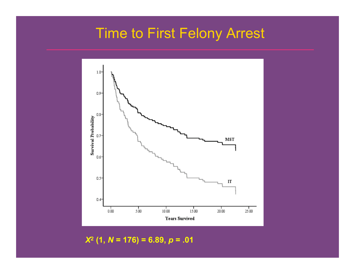## Time to First Felony Arrest



 *X***<sup>2</sup> (1,** *N* **= 176) = 6.89,** *p* **= .01**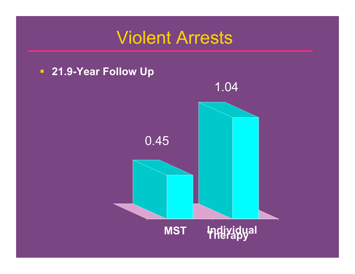## Violent Arrests

#### **21.9-Year Follow Up**

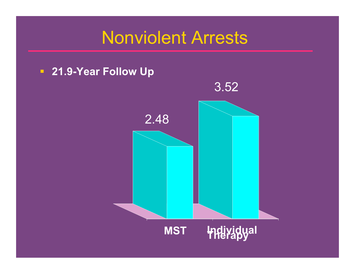## Nonviolent Arrests

#### **21.9-Year Follow Up**

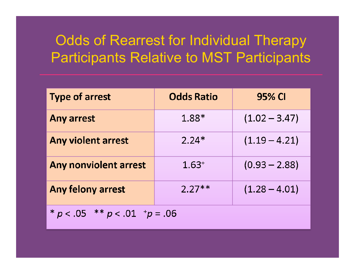## Odds of Rearrest for Individual Therapy Participants Relative to MST Participants

| <b>Type of arrest</b>                | <b>Odds Ratio</b> | 95% CI          |  |
|--------------------------------------|-------------------|-----------------|--|
| Any arrest                           | 1.88*             | $(1.02 - 3.47)$ |  |
| <b>Any violent arrest</b>            | $2.24*$           | $(1.19 - 4.21)$ |  |
| Any nonviolent arrest                | $1.63^{+}$        | $(0.93 - 2.88)$ |  |
| Any felony arrest                    | $2.27**$          | $(1.28 - 4.01)$ |  |
| * $p < .05$ ** $p < .01$ + $p = .06$ |                   |                 |  |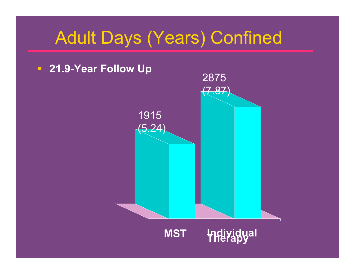## Adult Days (Years) Confined

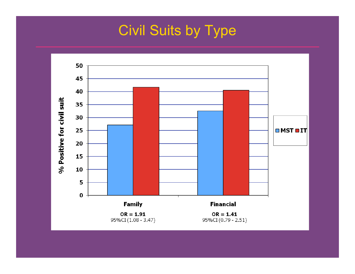## Civil Suits by Type

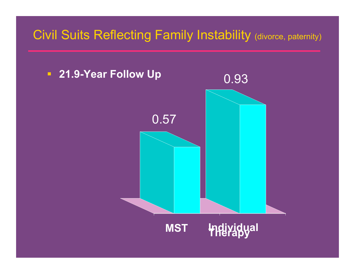#### Civil Suits Reflecting Family Instability (divorce, paternity)

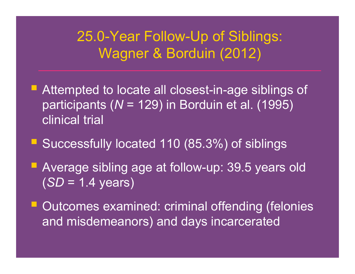### 25.0-Year Follow-Up of Siblings: Wagner & Borduin (2012)

- Attempted to locate all closest-in-age siblings of participants (*N* = 129) in Borduin et al. (1995) clinical trial
- Successfully located 110 (85.3%) of siblings
- **Average sibling age at follow-up: 39.5 years old** (*SD* = 1.4 years)
- Outcomes examined: criminal offending (felonies and misdemeanors) and days incarcerated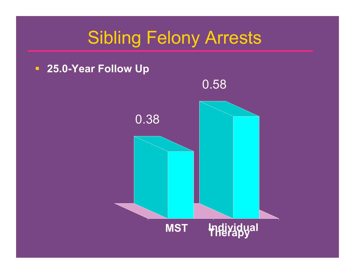## Sibling Felony Arrests



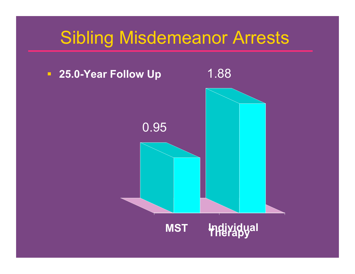## Sibling Misdemeanor Arrests

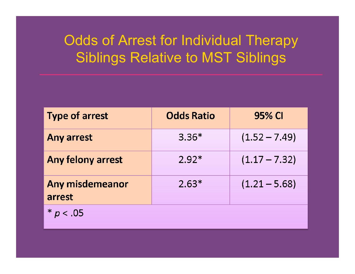## Odds of Arrest for Individual Therapy Siblings Relative to MST Siblings

| <b>Type of arrest</b>     | <b>Odds Ratio</b> | 95% CI          |
|---------------------------|-------------------|-----------------|
| <b>Any arrest</b>         | $3.36*$           | $(1.52 - 7.49)$ |
| Any felony arrest         | $2.92*$           | $(1.17 - 7.32)$ |
| Any misdemeanor<br>arrest | $2.63*$           | $(1.21 - 5.68)$ |
| $*$ p<br>< .05            |                   |                 |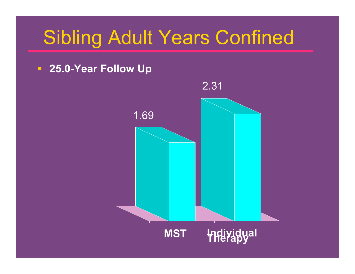# Sibling Adult Years Confined

#### **25.0-Year Follow Up**

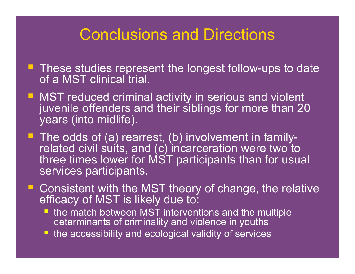## Conclusions and Directions

- **These studies represent the longest follow-ups to date** of a MST clinical trial.
- MST reduced criminal activity in serious and violent juvenile offenders and their siblings for more than 20 years (into midlife).
- The odds of (a) rearrest, (b) involvement in family-<br>related civil suits, and (c) incarceration were two to three times lower for MST participants than for usual services participants.
- Consistent with the MST theory of change, the relative efficacy of MST is likely due to:
	- **the match between MST interventions and the multiple** determinants of criminality and violence in youths
	- **the accessibility and ecological validity of services**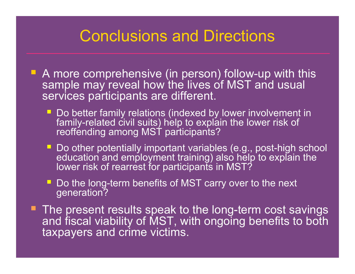## Conclusions and Directions

- A more comprehensive (in person) follow-up with this sample may reveal how the lives of MST and usual services participants are different.
	- Do better family relations (indexed by lower involvement in family-related civil suits) help to explain the lower risk of reoffending among MST participants?
	- Do other potentially important variables (e.g., post-high school education and employment training) also help to explain the lower risk of rearrest for participants in MST?
	- Do the long-term benefits of MST carry over to the next generation?
- **The present results speak to the long-term cost savings** and fiscal viability of MST, with ongoing benefits to both taxpayers and crime victims.